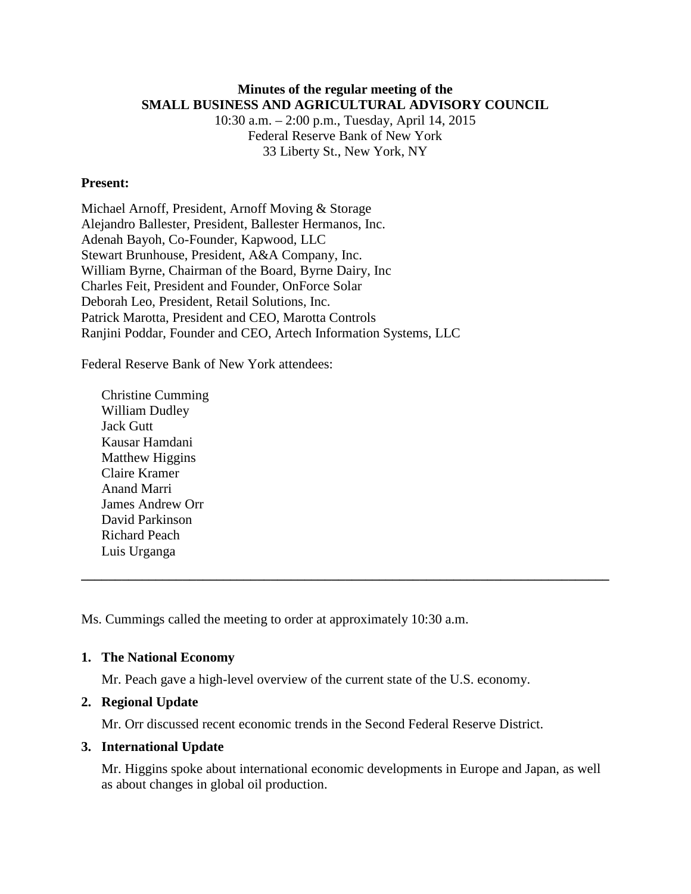# **Minutes of the regular meeting of the SMALL BUSINESS AND AGRICULTURAL ADVISORY COUNCIL**

10:30 a.m. – 2:00 p.m., Tuesday, April 14, 2015 Federal Reserve Bank of New York 33 Liberty St., New York, NY

### **Present:**

Michael Arnoff, President, Arnoff Moving & Storage Alejandro Ballester, President, Ballester Hermanos, Inc. Adenah Bayoh, Co-Founder, Kapwood, LLC Stewart Brunhouse, President, A&A Company, Inc. William Byrne, Chairman of the Board, Byrne Dairy, Inc Charles Feit, President and Founder, OnForce Solar Deborah Leo, President, Retail Solutions, Inc. Patrick Marotta, President and CEO, Marotta Controls Ranjini Poddar, Founder and CEO, Artech Information Systems, LLC

Federal Reserve Bank of New York attendees:

Christine Cumming William Dudley Jack Gutt Kausar Hamdani Matthew Higgins Claire Kramer Anand Marri James Andrew Orr David Parkinson Richard Peach Luis Urganga

Ms. Cummings called the meeting to order at approximately 10:30 a.m.

# **1. The National Economy**

Mr. Peach gave a high-level overview of the current state of the U.S. economy.

#### **2. Regional Update**

Mr. Orr discussed recent economic trends in the Second Federal Reserve District.

#### **3. International Update**

Mr. Higgins spoke about international economic developments in Europe and Japan, as well as about changes in global oil production.

**\_\_\_\_\_\_\_\_\_\_\_\_\_\_\_\_\_\_\_\_\_\_\_\_\_\_\_\_\_\_\_\_\_\_\_\_\_\_\_\_\_\_\_\_\_\_\_\_\_\_\_\_\_\_\_\_\_\_\_\_\_\_\_\_\_\_\_\_\_\_\_\_\_\_\_\_\_\_**